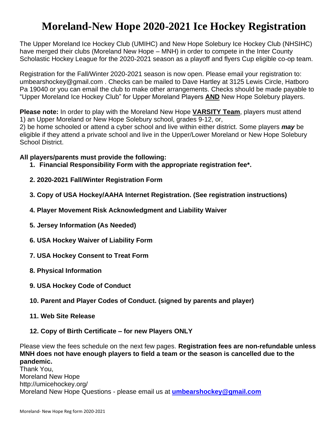# **Moreland-New Hope 2020-2021 Ice Hockey Registration**

The Upper Moreland Ice Hockey Club (UMIHC) and New Hope Solebury Ice Hockey Club (NHSIHC) have merged their clubs (Moreland New Hope – MNH) in order to compete in the Inter County Scholastic Hockey League for the 2020-2021 season as a playoff and flyers Cup eligible co-op team.

Registration for the Fall/Winter 2020-2021 season is now open. Please email your registration to: umbearshockey@gmail.com . Checks can be mailed to Dave Hartley at 3125 Lewis Circle, Hatboro Pa 19040 or you can email the club to make other arrangements. Checks should be made payable to "Upper Moreland Ice Hockey Club" for Upper Moreland Players **AND** New Hope Solebury players.

**Please note:** In order to play with the Moreland New Hope **VARSITY Team**, players must attend 1) an Upper Moreland or New Hope Solebury school, grades 9-12, or,

2) be home schooled or attend a cyber school and live within either district. Some players *may* be eligible if they attend a private school and live in the Upper/Lower Moreland or New Hope Solebury School District.

### **All players/parents must provide the following:**

- **1. Financial Responsibility Form with the appropriate registration fee\*.**
- **2. 2020-2021 Fall/Winter Registration Form**
- **3. Copy of USA Hockey/AAHA Internet Registration. (See registration instructions)**
- **4. Player Movement Risk Acknowledgment and Liability Waiver**
- **5. Jersey Information (As Needed)**
- **6. USA Hockey Waiver of Liability Form**
- **7. USA Hockey Consent to Treat Form**
- **8. Physical Information**
- **9. USA Hockey Code of Conduct**
- **10. Parent and Player Codes of Conduct. (signed by parents and player)**
- **11. Web Site Release**
- **12. Copy of Birth Certificate – for new Players ONLY**

Please view the fees schedule on the next few pages. **Registration fees are non-refundable unless MNH does not have enough players to field a team or the season is cancelled due to the pandemic.** Thank You,

Moreland New Hope http://umicehockey.org/ Moreland New Hope Questions - please email us at **[umbearshockey@gmail.com](mailto:umbearshockey@gmail.com)**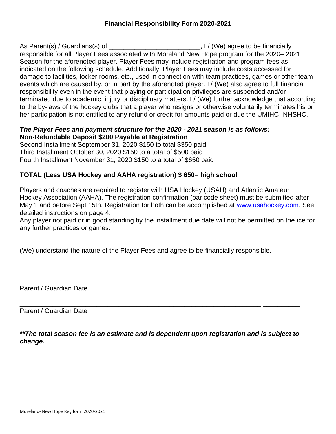As Parent(s) / Guardians(s) of \_\_\_\_\_\_\_\_\_\_\_\_\_\_\_\_\_\_\_\_\_\_\_\_\_, I / (We) agree to be financially responsible for all Player Fees associated with Moreland New Hope program for the 2020– 2021 Season for the aforenoted player. Player Fees may include registration and program fees as indicated on the following schedule. Additionally, Player Fees may include costs accessed for damage to facilities, locker rooms, etc., used in connection with team practices, games or other team events which are caused by, or in part by the aforenoted player. I / (We) also agree to full financial responsibility even in the event that playing or participation privileges are suspended and/or terminated due to academic, injury or disciplinary matters. I / (We) further acknowledge that according to the by-laws of the hockey clubs that a player who resigns or otherwise voluntarily terminates his or her participation is not entitled to any refund or credit for amounts paid or due the UMIHC- NHSHC.

# *The Player Fees and payment structure for the 2020 - 2021 season is as follows:* **Non-Refundable Deposit \$200 Payable at Registration**

Second Installment September 31, 2020 \$150 to total \$350 paid Third Installment October 30, 2020 \$150 to a total of \$500 paid Fourth Installment November 31, 2020 \$150 to a total of \$650 paid

# **TOTAL (Less USA Hockey and AAHA registration) \$ 650= high school**

Players and coaches are required to register with USA Hockey (USAH) and Atlantic Amateur Hockey Association (AAHA). The registration confirmation (bar code sheet) must be submitted after May 1 and before Sept 15th. Registration for both can be accomplished at www.usahockey.com. See detailed instructions on page 4.

Any player not paid or in good standing by the installment due date will not be permitted on the ice for any further practices or games.

(We) understand the nature of the Player Fees and agree to be financially responsible.

Parent / Guardian Date

\_\_\_\_\_\_\_\_\_\_\_\_\_\_\_\_\_\_\_\_\_\_\_\_\_\_\_\_\_\_\_\_\_\_\_\_\_\_\_\_\_\_\_\_\_\_\_\_\_\_\_\_\_\_\_\_\_\_\_\_\_\_\_\_\_\_ \_\_\_\_\_\_\_\_\_\_ Parent / Guardian Date

*\*\*The total season fee is an estimate and is dependent upon registration and is subject to change.*

\_\_\_\_\_\_\_\_\_\_\_\_\_\_\_\_\_\_\_\_\_\_\_\_\_\_\_\_\_\_\_\_\_\_\_\_\_\_\_\_\_\_\_\_\_\_\_\_\_\_\_\_\_\_\_\_\_\_\_\_\_\_\_\_\_\_ \_\_\_\_\_\_\_\_\_\_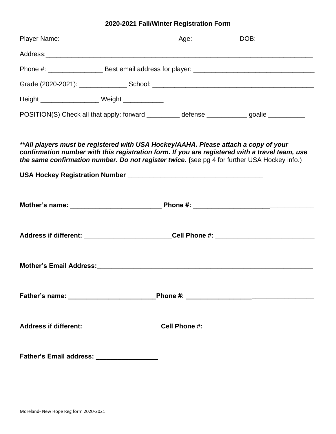# **2020-2021 Fall/Winter Registration Form**

| Height _____________________ Weight ____________                                                                                                                                                                                                                                      |  |  |
|---------------------------------------------------------------------------------------------------------------------------------------------------------------------------------------------------------------------------------------------------------------------------------------|--|--|
| POSITION(S) Check all that apply: forward __________ defense ____________ goalie __________                                                                                                                                                                                           |  |  |
| **All players must be registered with USA Hockey/AAHA. Please attach a copy of your<br>confirmation number with this registration form. If you are registered with a travel team, use<br>the same confirmation number. Do not register twice. (see pg 4 for further USA Hockey info.) |  |  |
|                                                                                                                                                                                                                                                                                       |  |  |
|                                                                                                                                                                                                                                                                                       |  |  |
|                                                                                                                                                                                                                                                                                       |  |  |
|                                                                                                                                                                                                                                                                                       |  |  |
|                                                                                                                                                                                                                                                                                       |  |  |
|                                                                                                                                                                                                                                                                                       |  |  |
|                                                                                                                                                                                                                                                                                       |  |  |
|                                                                                                                                                                                                                                                                                       |  |  |
|                                                                                                                                                                                                                                                                                       |  |  |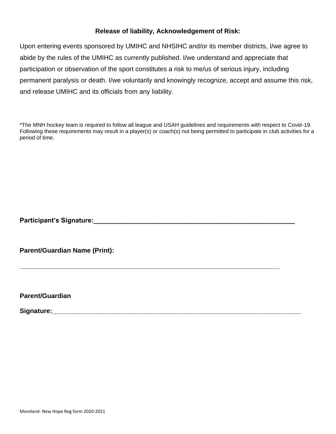# **Release of liability, Acknowledgement of Risk:**

Upon entering events sponsored by UMIHC and NHSIHC and/or its member districts, I/we agree to abide by the rules of the UMIHC as currently published. I/we understand and appreciate that participation or observation of the sport constitutes a risk to me/us of serious injury, including permanent paralysis or death. I/we voluntarily and knowingly recognize, accept and assume this risk, and release UMIHC and its officials from any liability.

\*The MNH hockey team is required to follow all league and USAH guidelines and requirements with respect to Covid-19. Following these requirements may result in a player(s) or coach(s) not being permitted to participate in club activities for a period of time.

**\_\_\_\_\_\_\_\_\_\_\_\_\_\_\_\_\_\_\_\_\_\_\_\_\_\_\_\_\_\_\_\_\_\_\_\_\_\_\_\_\_\_\_\_\_\_\_\_\_\_\_\_\_\_\_\_\_\_\_\_\_\_\_\_\_\_\_\_\_\_\_**

**Participant's Signature:\_\_\_\_\_\_\_\_\_\_\_\_\_\_\_\_\_\_\_\_\_\_\_\_\_\_\_\_\_\_\_\_\_\_\_\_\_\_\_\_\_\_\_\_\_\_\_\_\_\_\_\_\_\_\_**

**Parent/Guardian Name (Print):**

**Parent/Guardian**

Signature: **Signature: Signature: Signature: Signature: Signature: Signature: Signature: Signature: Signature: Signature: Signature: Signature: Signature: Signature: Signature: Signature: Si**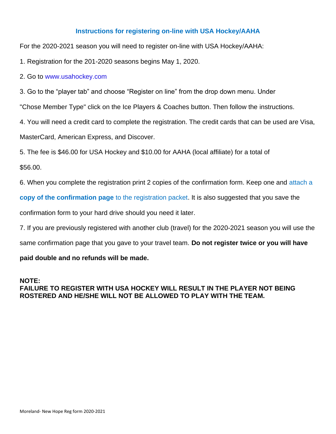# **Instructions for registering on-line with USA Hockey/AAHA**

For the 2020-2021 season you will need to register on-line with USA Hockey/AAHA:

1. Registration for the 201-2020 seasons begins May 1, 2020.

# 2. Go to www.usahockey.com

3. Go to the "player tab" and choose "Register on line" from the drop down menu. Under

"Chose Member Type" click on the Ice Players & Coaches button. Then follow the instructions.

4. You will need a credit card to complete the registration. The credit cards that can be used are Visa,

MasterCard, American Express, and Discover.

5. The fee is \$46.00 for USA Hockey and \$10.00 for AAHA (local affiliate) for a total of

\$56.00.

6. When you complete the registration print 2 copies of the confirmation form. Keep one and attach a

**copy of the confirmation page** to the registration packet. It is also suggested that you save the

confirmation form to your hard drive should you need it later.

7. If you are previously registered with another club (travel) for the 2020-2021 season you will use the

same confirmation page that you gave to your travel team. **Do not register twice or you will have** 

### **paid double and no refunds will be made.**

### **NOTE: FAILURE TO REGISTER WITH USA HOCKEY WILL RESULT IN THE PLAYER NOT BEING ROSTERED AND HE/SHE WILL NOT BE ALLOWED TO PLAY WITH THE TEAM.**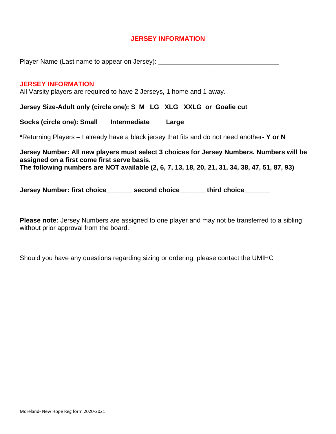# **JERSEY INFORMATION**

Player Name (Last name to appear on Jersey):

### **JERSEY INFORMATION**

All Varsity players are required to have 2 Jerseys, 1 home and 1 away.

**Jersey Size-Adult only (circle one): S M LG XLG XXLG or Goalie cut**

**Socks (circle one): Small Intermediate Large**

**\***Returning Players – I already have a black jersey that fits and do not need another**- Y or N**

**Jersey Number: All new players must select 3 choices for Jersey Numbers. Numbers will be assigned on a first come first serve basis. The following numbers are NOT available (2, 6, 7, 13, 18, 20, 21, 31, 34, 38, 47, 51, 87, 93)**

**Jersey Number: first choice example second choice example third choice** 

**Please note:** Jersey Numbers are assigned to one player and may not be transferred to a sibling without prior approval from the board.

Should you have any questions regarding sizing or ordering, please contact the UMIHC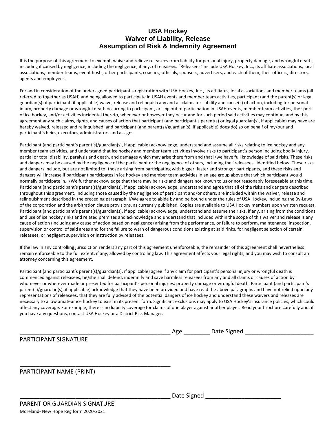# **USA Hockey Waiver of Liability, Release Assumption of Risk & Indemnity Agreement**

It is the purpose of this agreement to exempt, waive and relieve releasees from liability for personal injury, property damage, and wrongful death, including if caused by negligence, including the negligence, if any, of releasees. "Releasees" include USA Hockey, Inc., its affiliate associations, local associations, member teams, event hosts, other participants, coaches, officials, sponsors, advertisers, and each of them, their officers, directors, agents and employees.

For and in consideration of the undersigned participant's registration with USA Hockey, Inc., its affiliates, local associations and member teams (all referred to together as USAH) and being allowed to participate in USAH events and member team activities, participant (and the parent(s) or legal guardian(s) of participant, if applicable) waive, release and relinquish any and all claims for liability and cause(s) of action, including for personal injury, property damage or wrongful death occurring to participant, arising out of participation in USAH events, member team activities, the sport of ice hockey, and/or activities incidental thereto, whenever or however they occur and for such period said activities may continue, and by this agreement any such claims, rights, and causes of action that participant (and participant's parent(s) or legal guardian(s), if applicable) may have are hereby waived, released and relinquished, and participant (and parent(s)/guardian(s), if applicable) does(do) so on behalf of my/our and participant's heirs, executors, administrators and assigns.

Participant (and participant's parent(s)/guardian(s), if applicable) acknowledge, understand and assume all risks relating to ice hockey and any member team activities, and understand that ice hockey and member team activities involve risks to participant's person including bodily injury, partial or total disability, paralysis and death, and damages which may arise there from and that I/we have full knowledge of said risks. These risks and dangers may be caused by the negligence of the participant or the negligence of others, including the "releasees" identified below. These risks and dangers include, but are not limited to, those arising from participating with bigger, faster and stronger participants, and these risks and dangers will increase if participant participates in ice hockey and member team activities in an age group above that which participant would normally participate in. I/We further acknowledge that there may be risks and dangers not known to us or not reasonably foreseeable at this time. Participant (and participant's parent(s)/guardian(s), if applicable) acknowledge, understand and agree that all of the risks and dangers described throughout this agreement, including those caused by the negligence of participant and/or others, are included within the waiver, release and relinquishment described in the preceding paragraph. I/We agree to abide by and be bound under the rules of USA Hockey, including the By-Laws of the corporation and the arbitration clause provisions, as currently published. Copies are available to USA Hockey members upon written request. Participant (and participant's parent(s)/guardian(s), if applicable) acknowledge, understand and assume the risks, if any, arising from the conditions and use of ice hockey rinks and related premises and acknowledge and understand that included within the scope of this waiver and release is any cause of action (including any cause of action based on negligence) arising from the performance, or failure to perform, maintenance, inspection, supervision or control of said areas and for the failure to warn of dangerous conditions existing at said rinks, for negligent selection of certain releasees, or negligent supervision or instruction by releasees.

If the law in any controlling jurisdiction renders any part of this agreement unenforceable, the remainder of this agreement shall nevertheless remain enforceable to the full extent, if any, allowed by controlling law. This agreement affects your legal rights, and you may wish to consult an attorney concerning this agreement.

Participant (and participant's parent(s)/guardian(s), if applicable) agree if any claim for participant's personal injury or wrongful death is commenced against releasees, he/she shall defend, indemnify and save harmless releasees from any and all claims or causes of action by whomever or wherever made or presented for participant's personal injuries, property damage or wrongful death. Participant (and participant's parent(s)/guardian(s), if applicable) acknowledge that they have been provided and have read the above paragraphs and have not relied upon any representations of releasees, that they are fully advised of the potential dangers of ice hockey and understand these waivers and releases are necessary to allow amateur ice hockey to exist in its present form. Significant exclusions may apply to USA Hockey's insurance policies, which could affect any coverage. For example, there is no liability coverage for claims of one player against another player. Read your brochure carefully and, if you have any questions, contact USA Hockey or a District Risk Manager.

|                          | Age         | Date Signed |  |
|--------------------------|-------------|-------------|--|
| PARTICIPANT SIGNATURE    |             |             |  |
|                          |             |             |  |
|                          |             |             |  |
| PARTICIPANT NAME (PRINT) |             |             |  |
|                          |             |             |  |
|                          | Date Signed |             |  |
|                          |             |             |  |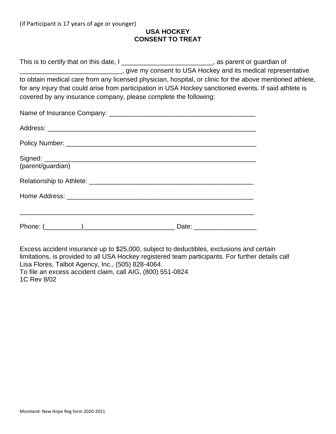# **USA HOCKEY CONSENT TO TREAT**

| This is to certify that on this date, I                          | , as parent or guardian of                                                                               |
|------------------------------------------------------------------|----------------------------------------------------------------------------------------------------------|
|                                                                  | give my consent to USA Hockey and its medical representative                                             |
|                                                                  | to obtain medical care from any licensed physician, hospital, or clinic for the above mentioned athlete, |
|                                                                  | for any injury that could arise from participation in USA Hockey sanctioned events. If said athlete is   |
| covered by any insurance company, please complete the following: |                                                                                                          |

| (parent/guardian) |
|-------------------|
|                   |
|                   |
|                   |

Excess accident insurance up to \$25,000, subject to deductibles, exclusions and certain limitations, is provided to all USA Hockey registered team participants. For further details call Lisa Flores, Talbot Agency, Inc., (505) 828-4064. To file an excess accident claim, call AIG, (800) 551-0824 1C Rev 8/02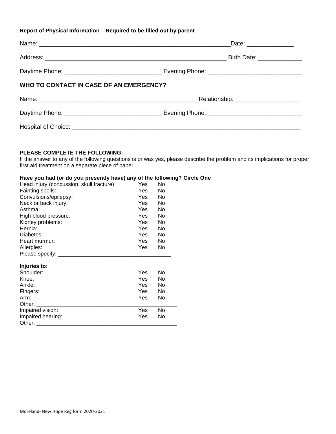#### **Report of Physical Information – Required to be filled out by parent**

|                                         | Date: _______________ |
|-----------------------------------------|-----------------------|
|                                         |                       |
|                                         |                       |
| WHO TO CONTACT IN CASE OF AN EMERGENCY? |                       |
|                                         |                       |
|                                         |                       |
|                                         |                       |

#### **PLEASE COMPLETE THE FOLLOWING:**

If the answer to any of the following questions is or was yes, please describe the problem and its implications for proper first aid treatment on a separate piece of paper.

#### **Have you had (or do you presently have) any of the following? Circle One**

| Head injury (concussion, skull fracture): | Yes        | No  |
|-------------------------------------------|------------|-----|
| Fainting spells:                          | <b>Yes</b> | No  |
| Convulsions/epilepsy:                     | <b>Yes</b> | No  |
| Neck or back injury:                      | <b>Yes</b> | No  |
| Asthma:                                   | <b>Yes</b> | No  |
| High blood pressure:                      | Yes        | No. |
| Kidney problems:                          | <b>Yes</b> | No  |
| Hernia:                                   | Yes        | No  |
| Diabetes:                                 | <b>Yes</b> | No  |
| Heart murmur:                             | Yes.       | No  |
| Allergies:                                | Yes        | No  |
| Please specify: _                         |            |     |
| Injuries to:                              |            |     |
| Shoulder:                                 | Yes        | No  |
| Knee:                                     | Yes        | No  |
| Ankle:                                    | Yes        | No  |
| Fingers:                                  | Yes        | No  |
| Arm:                                      | Yes        | No  |
| Other:                                    |            |     |
| Impaired vision:                          | Yes        | No  |
| Impaired hearing:                         | Yes        | No  |
| Other:                                    |            |     |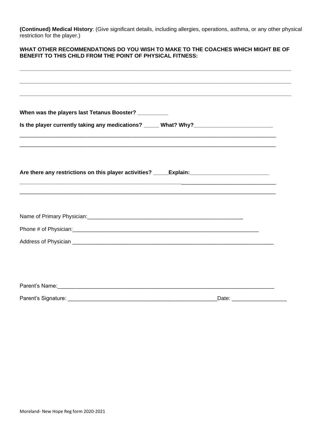**(Continued) Medical History**: (Give significant details, including allergies, operations, asthma, or any other physical restriction for the player.)

### **WHAT OTHER RECOMMENDATIONS DO YOU WISH TO MAKE TO THE COACHES WHICH MIGHT BE OF BENEFIT TO THIS CHILD FROM THE POINT OF PHYSICAL FITNESS:**

| When was the players last Tetanus Booster? _________                                                           |                               |
|----------------------------------------------------------------------------------------------------------------|-------------------------------|
|                                                                                                                |                               |
|                                                                                                                |                               |
|                                                                                                                |                               |
|                                                                                                                |                               |
| Are there any restrictions on this player activities? _____Explain: ________________________________           |                               |
|                                                                                                                |                               |
|                                                                                                                |                               |
|                                                                                                                |                               |
|                                                                                                                |                               |
|                                                                                                                |                               |
|                                                                                                                |                               |
|                                                                                                                |                               |
|                                                                                                                |                               |
|                                                                                                                |                               |
| Parent's Name: contract to the contract of the contract of the contract of the contract of the contract of the |                               |
|                                                                                                                | Date: _______________________ |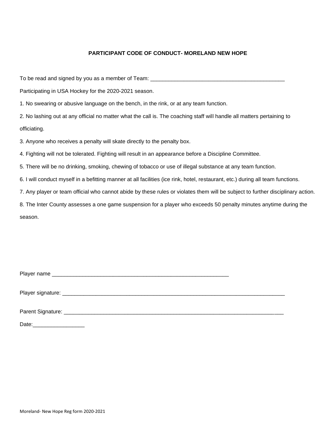### **PARTICIPANT CODE OF CONDUCT- MORELAND NEW HOPE**

To be read and signed by you as a member of Team: \_\_\_\_\_\_\_\_\_\_\_\_\_\_\_\_\_\_\_\_\_\_\_\_\_\_\_\_\_\_

Participating in USA Hockey for the 2020-2021 season.

1. No swearing or abusive language on the bench, in the rink, or at any team function.

2. No lashing out at any official no matter what the call is. The coaching staff will handle all matters pertaining to officiating.

3. Anyone who receives a penalty will skate directly to the penalty box.

4. Fighting will not be tolerated. Fighting will result in an appearance before a Discipline Committee.

5. There will be no drinking, smoking, chewing of tobacco or use of illegal substance at any team function.

6. I will conduct myself in a befitting manner at all facilities (ice rink, hotel, restaurant, etc.) during all team functions.

7. Any player or team official who cannot abide by these rules or violates them will be subject to further disciplinary action.

8. The Inter County assesses a one game suspension for a player who exceeds 50 penalty minutes anytime during the season.

Player name \_\_\_\_\_\_\_\_\_\_\_\_\_\_\_\_\_\_\_\_\_\_\_\_\_\_\_\_\_\_\_\_\_\_\_\_\_\_\_\_\_\_\_\_\_\_\_\_\_\_\_\_\_\_\_\_\_\_

Player signature: \_\_\_\_\_\_\_\_\_\_\_\_\_\_\_\_\_\_\_\_\_\_\_\_\_\_\_\_\_\_\_\_\_\_\_\_\_\_\_\_\_\_\_\_\_\_\_\_\_\_\_\_\_\_\_\_\_\_\_\_\_\_\_\_\_\_\_\_\_\_\_\_\_

Parent Signature: **Example 20** and 20 and 20 and 20 and 20 and 20 and 20 and 20 and 20 and 20 and 20 and 20 and 20 and 20 and 20 and 20 and 20 and 20 and 20 and 20 and 20 and 20 and 20 and 20 and 20 and 20 and 20 and 20 an

Date:\_\_\_\_\_\_\_\_\_\_\_\_\_\_\_\_\_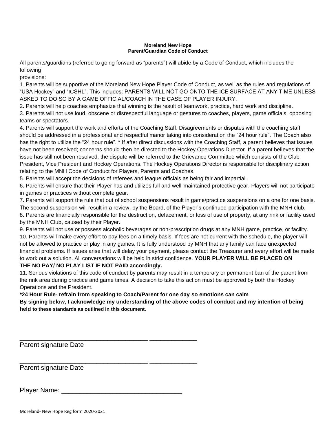#### **Moreland New Hope Parent/Guardian Code of Conduct**

All parents/guardians (referred to going forward as "parents") will abide by a Code of Conduct, which includes the following

provisions:

1. Parents will be supportive of the Moreland New Hope Player Code of Conduct, as well as the rules and regulations of "USA Hockey" and "ICSHL". This includes: PARENTS WILL NOT GO ONTO THE ICE SURFACE AT ANY TIME UNLESS ASKED TO DO SO BY A GAME OFFICIAL/COACH IN THE CASE OF PLAYER INJURY.

2. Parents will help coaches emphasize that winning is the result of teamwork, practice, hard work and discipline.

3. Parents will not use loud, obscene or disrespectful language or gestures to coaches, players, game officials, opposing teams or spectators.

4. Parents will support the work and efforts of the Coaching Staff. Disagreements or disputes with the coaching staff should be addressed in a professional and respectful manor taking into consideration the "24 hour rule". The Coach also has the right to utilize the "24 hour rule". \* If after direct discussions with the Coaching Staff, a parent believes that issues have not been resolved; concerns should then be directed to the Hockey Operations Director. If a parent believes that the issue has still not been resolved, the dispute will be referred to the Grievance Committee which consists of the Club President, Vice President and Hockey Operations. The Hockey Operations Director is responsible for disciplinary action relating to the MNH Code of Conduct for Players, Parents and Coaches.

5. Parents will accept the decisions of referees and league officials as being fair and impartial.

6. Parents will ensure that their Player has and utilizes full and well-maintained protective gear. Players will not participate in games or practices without complete gear.

7. Parents will support the rule that out of school suspensions result in game/practice suspensions on a one for one basis. The second suspension will result in a review, by the Board, of the Player's continued participation with the MNH club.

8. Parents are financially responsible for the destruction, defacement, or loss of use of property, at any rink or facility used by the MNH Club, caused by their Player.

9. Parents will not use or possess alcoholic beverages or non-prescription drugs at any MNH game, practice, or facility. 10. Parents will make every effort to pay fees on a timely basis. If fees are not current with the schedule, the player will not be allowed to practice or play in any games. It is fully understood by MNH that any family can face unexpected financial problems. If issues arise that will delay your payment, please contact the Treasurer and every effort will be made to work out a solution. All conversations will be held in strict confidence. **YOUR PLAYER WILL BE PLACED ON**

### **THE NO PAY/ NO PLAY LIST IF NOT PAID accordingly.**

11. Serious violations of this code of conduct by parents may result in a temporary or permanent ban of the parent from the rink area during practice and game times. A decision to take this action must be approved by both the Hockey Operations and the President.

**\*24 Hour Rule- refrain from speaking to Coach/Parent for one day so emotions can calm**

**By signing below, I acknowledge my understanding of the above codes of conduct and my intention of being held to these standards as outlined in this document.**

Parent signature Date

Parent signature Date

Player Name: **Example 20** 

\_\_\_\_\_\_\_\_\_\_\_\_\_\_\_\_\_\_\_\_\_\_\_\_\_\_\_\_\_\_\_\_\_\_\_ \_\_\_\_\_\_\_\_\_\_\_\_\_

\_\_\_\_\_\_\_\_\_\_\_\_\_\_\_\_\_\_\_\_\_\_\_\_\_\_\_\_\_\_\_\_\_\_\_ \_\_\_\_\_\_\_\_\_\_\_\_\_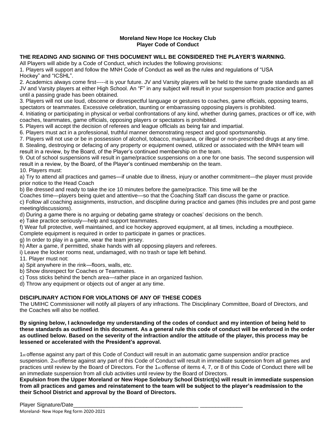### **Moreland New Hope Ice Hockey Club Player Code of Conduct**

### **THE READING AND SIGNING OF THIS DOCUMENT WILL BE CONSIDERED THE PLAYER'S WARNING.**

All Players will abide by a Code of Conduct, which includes the following provisions:

1. Players will support and follow the MNH Code of Conduct as well as the rules and regulations of "USA Hockey" and "ICSHL".

2. Academics always come first-----it is your future. JV and Varsity players will be held to the same grade standards as all JV and Varsity players at either High School. An "F" in any subject will result in your suspension from practice and games until a passing grade has been obtained.

3. Players will not use loud, obscene or disrespectful language or gestures to coaches, game officials, opposing teams, spectators or teammates. Excessive celebration, taunting or embarrassing opposing players is prohibited.

4. Initiating or participating in physical or verbal confrontations of any kind, whether during games, practices or off ice, with coaches, teammates, game officials, opposing players or spectators is prohibited.

5. Players will accept the decision of referees and league officials as being fair and impartial.

6. Players must act in a professional, truthful manner demonstrating respect and good sportsmanship.

7. Players will not use or be in possession of alcohol, tobacco, marijuana, or illegal or non-prescribed drugs at any time.

8. Stealing, destroying or defacing of any property or equipment owned, utilized or associated with the MNH team will result in a review, by the Board, of the Player's continued membership on the team.

9. Out of school suspensions will result in game/practice suspensions on a one for one basis. The second suspension will result in a review, by the Board, of the Player's continued membership on the team. 10. Players must:

a) Try to attend all practices and games—if unable due to illness, injury or another commitment—the player must provide prior notice to the Head Coach

b) Be dressed and ready to take the ice 10 minutes before the game/practice. This time will be the

Coaches time—players being quiet and attentive—so that the Coaching Staff can discuss the game or practice.

c) Follow all coaching assignments, instruction, and discipline during practice and games (this includes pre and post game meeting/discussions).

d) During a game there is no arguing or debating game strategy or coaches' decisions on the bench.

e) Take practice seriously—help and support teammates.

f) Wear full protective, well maintained, and ice hockey approved equipment, at all times, including a mouthpiece.

Complete equipment is required in order to participate in games or practices.

g) In order to play in a game, wear the team jersey.

h) After a game, if permitted, shake hands with all opposing players and referees.

i) Leave the locker rooms neat, undamaged, with no trash or tape left behind.

11. Player must not:

a) Spit anywhere in the rink—floors, walls, etc.

b) Show disrespect for Coaches or Teammates.

c) Toss sticks behind the bench area—rather place in an organized fashion.

d) Throw any equipment or objects out of anger at any time.

### **DISCIPLINARY ACTION FOR VIOLATIONS OF ANY OF THESE CODES**

The UMIHC Commissioner will notify all players of any infractions. The Disciplinary Committee, Board of Directors, and the Coaches will also be notified.

**By signing below, I acknowledge my understanding of the codes of conduct and my intention of being held to these standards as outlined in this document. As a general rule this code of conduct will be enforced in the order as outlined below. Based on the severity of the infraction and/or the attitude of the player, this process may be lessened or accelerated with the President's approval.**

1st offense against any part of this Code of Conduct will result in an automatic game suspension and/or practice suspension. 2nd offense against any part of this Code of Conduct will result in immediate suspension from all games and practices until review by the Board of Directors. For the 1<sub>st</sub> offense of items 4, 7, or 8 of this Code of Conduct there will be an immediate suspension from all club activities until review by the Board of Directors.

**Expulsion from the Upper Moreland or New Hope Solebury School District(s) will result in immediate suspension from all practices and games and reinstatement to the team will be subject to the player's readmission to the their School District and approval by the Board of Directors.**